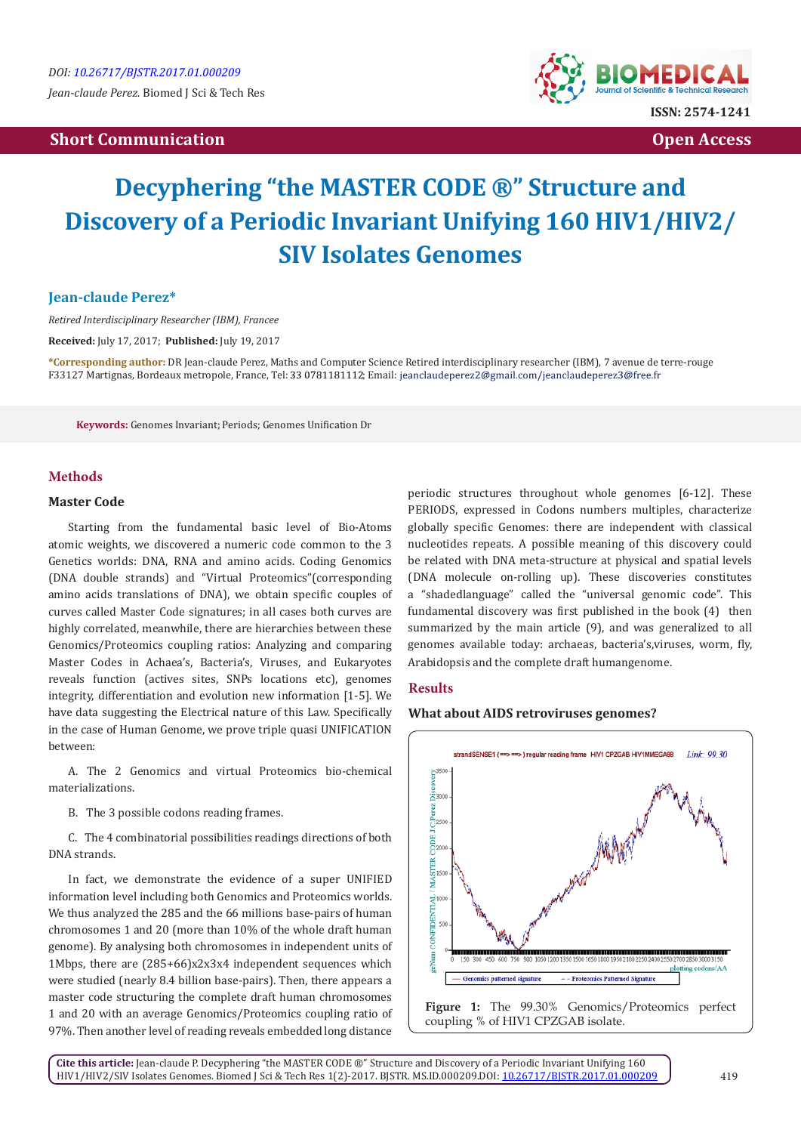# **Properties Communication Communication Communication Communication Communication Communication Communication**



# **Decyphering "the MASTER CODE ®" Structure and Discovery of a Periodic Invariant Unifying 160 HIV1/HIV2/ SIV Isolates Genomes**

## **Jean-claude Perez\***

*Retired Interdisciplinary Researcher (IBM), Francee*

**Received:** July 17, 2017; **Published:** July 19, 2017

**\*Corresponding author:** DR Jean-claude Perez, Maths and Computer Science Retired interdisciplinary researcher (IBM), 7 avenue de terre-rouge F33127 Martignas, Bordeaux metropole, France, Tel: 33 0781181112; Email: jeanclaudeperez2@gmail.com/jeanclaudeperez3@free.fr

**Keywords:** Genomes Invariant; Periods; Genomes Unification Dr

## **Methods**

#### **Master Code**

Starting from the fundamental basic level of Bio-Atoms atomic weights, we discovered a numeric code common to the 3 Genetics worlds: DNA, RNA and amino acids. Coding Genomics (DNA double strands) and "Virtual Proteomics"(corresponding amino acids translations of DNA), we obtain specific couples of curves called Master Code signatures; in all cases both curves are highly correlated, meanwhile, there are hierarchies between these Genomics/Proteomics coupling ratios: Analyzing and comparing Master Codes in Achaea's, Bacteria's, Viruses, and Eukaryotes reveals function (actives sites, SNPs locations etc), genomes integrity, differentiation and evolution new information [1-5]. We have data suggesting the Electrical nature of this Law. Specifically in the case of Human Genome, we prove triple quasi UNIFICATION between:

A. The 2 Genomics and virtual Proteomics bio-chemical materializations.

B. The 3 possible codons reading frames.

C. The 4 combinatorial possibilities readings directions of both DNA strands.

In fact, we demonstrate the evidence of a super UNIFIED information level including both Genomics and Proteomics worlds. We thus analyzed the 285 and the 66 millions base-pairs of human chromosomes 1 and 20 (more than 10% of the whole draft human genome). By analysing both chromosomes in independent units of 1Mbps, there are (285+66)x2x3x4 independent sequences which were studied (nearly 8.4 billion base-pairs). Then, there appears a master code structuring the complete draft human chromosomes 1 and 20 with an average Genomics/Proteomics coupling ratio of 97%. Then another level of reading reveals embedded long distance

periodic structures throughout whole genomes [6-12]. These PERIODS, expressed in Codons numbers multiples, characterize globally specific Genomes: there are independent with classical nucleotides repeats. A possible meaning of this discovery could be related with DNA meta-structure at physical and spatial levels (DNA molecule on-rolling up). These discoveries constitutes a "shadedlanguage" called the "universal genomic code". This fundamental discovery was first published in the book (4) then summarized by the main article (9), and was generalized to all genomes available today: archaeas, bacteria's,viruses, worm, fly, Arabidopsis and the complete draft humangenome.

### **Results**

#### **What about AIDS retroviruses genomes?**



coupling % of HIV1 CPZGAB isolate.

**Cite this article:** Jean-claude P. Decyphering "the MASTER CODE ®" Structure and Discovery of a Periodic Invariant Unifying 160 HIV1/HIV2/SIV Isolates Genomes. Biomed J Sci & Tech Res 1(2)-2017. BJSTR. MS.ID.000209.DOI: [10.26717/BJSTR.2017.01.000209](http://dx.doi.org/10.26717/BJSTR.2017.01.000209)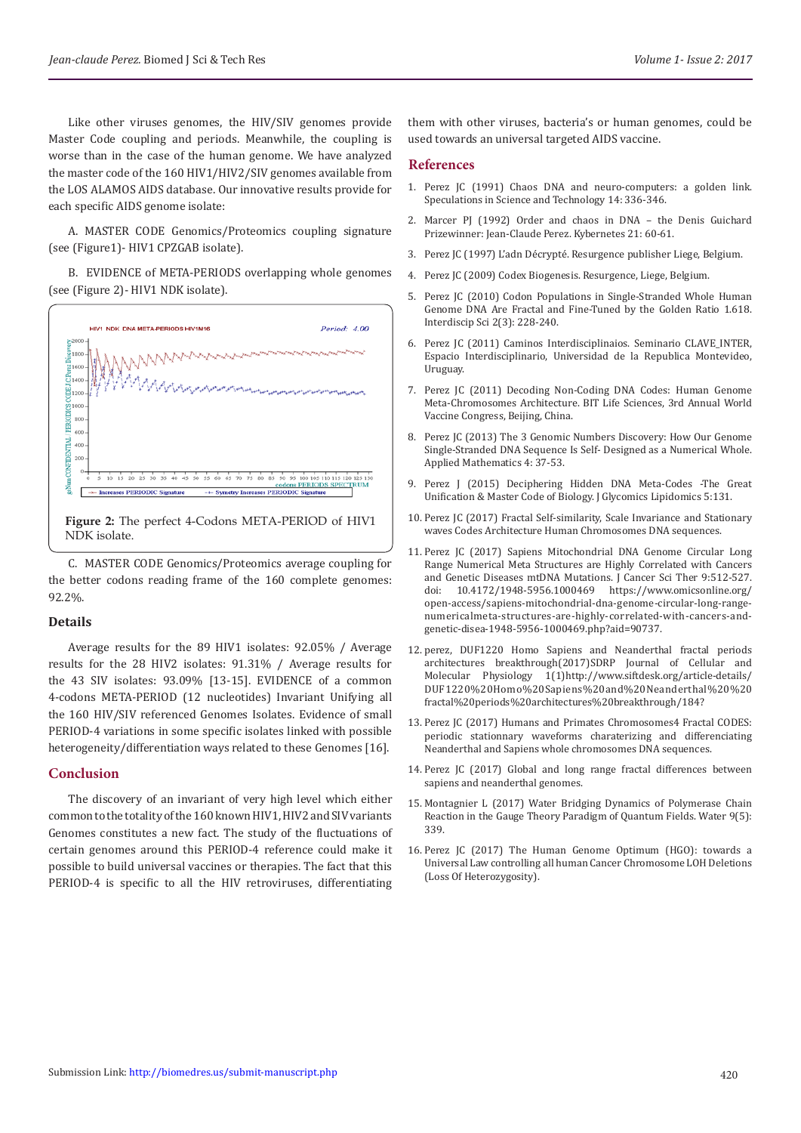Like other viruses genomes, the HIV/SIV genomes provide Master Code coupling and periods. Meanwhile, the coupling is worse than in the case of the human genome. We have analyzed the master code of the 160 HIV1/HIV2/SIV genomes available from the LOS ALAMOS AIDS database. Our innovative results provide for each specific AIDS genome isolate:

A. MASTER CODE Genomics/Proteomics coupling signature (see (Figure1)- HIV1 CPZGAB isolate).

B. EVIDENCE of META-PERIODS overlapping whole genomes (see (Figure 2)- HIV1 NDK isolate).



C. MASTER CODE Genomics/Proteomics average coupling for the better codons reading frame of the 160 complete genomes: 92.2%.

#### **Details**

Average results for the 89 HIV1 isolates: 92.05% / Average results for the 28 HIV2 isolates: 91.31% / Average results for the 43 SIV isolates: 93.09% [13-15]. EVIDENCE of a common 4-codons META-PERIOD (12 nucleotides) Invariant Unifying all the 160 HIV/SIV referenced Genomes Isolates. Evidence of small PERIOD-4 variations in some specific isolates linked with possible heterogeneity/differentiation ways related to these Genomes [16].

#### **Conclusion**

The discovery of an invariant of very high level which either common to the totality of the 160 known HIV1, HIV2 and SIV variants Genomes constitutes a new fact. The study of the fluctuations of certain genomes around this PERIOD-4 reference could make it possible to build universal vaccines or therapies. The fact that this PERIOD-4 is specific to all the HIV retroviruses, differentiating

them with other viruses, bacteria's or human genomes, could be used towards an universal targeted AIDS vaccine.

#### **References**

- 1. [Perez JC \(1991\) Chaos DNA and neuro-computers: a golden link.](https://www.researchgate.net/publication/275098566_1991_Chaos_DNA_and_Neuro-computers) [Speculations in Science and Technology 14: 336-346.](https://www.researchgate.net/publication/275098566_1991_Chaos_DNA_and_Neuro-computers)
- 2. [Marcer PJ \(1992\) Order and chaos in DNA the Denis Guichard](http://cat.inist.fr/?aModele=afficheN&cpsidt=5221044) [Prizewinner: Jean-Claude Perez. Kybernetes 21: 60-61.](http://cat.inist.fr/?aModele=afficheN&cpsidt=5221044)
- 3. Perez JC (1997) L'adn Décrypté. Resurgence publisher Liege, Belgium.
- 4. Perez JC (2009) Codex Biogenesis. Resurgence, Liege, Belgium.
- 5. [Perez JC \(2010\) Codon Populations in Single-Stranded Whole Human](https://www.ncbi.nlm.nih.gov/pubmed/20658335) [Genome DNA Are Fractal and Fine-Tuned by the Golden Ratio 1.618.](https://www.ncbi.nlm.nih.gov/pubmed/20658335) [Interdiscip Sci 2\(3\): 228-240.](https://www.ncbi.nlm.nih.gov/pubmed/20658335)
- 6. Perez JC (2011) Caminos Interdisciplinaios. Seminario CLAVE\_INTER, Espacio Interdisciplinario, Universidad de la Republica Montevideo, Uruguay.
- 7. Perez JC (2011) Decoding Non-Coding DNA Codes: Human Genome Meta-Chromosomes Architecture. BIT Life Sciences, 3rd Annual World Vaccine Congress, Beijing, China.
- 8. [Perez JC \(2013\) The 3 Genomic Numbers Discovery: How Our Genome](https://file.scirp.org/pdf/AM_2013100410590042.pdf) [Single-Stranded DNA Sequence Is Self- Designed as a Numerical Whole.](https://file.scirp.org/pdf/AM_2013100410590042.pdf) [Applied Mathematics 4: 37-53.](https://file.scirp.org/pdf/AM_2013100410590042.pdf)
- 9. Perez J (2015) Deciphering Hidden DNA Meta-Codes -The Great Unification & Master Code of Biology. J Glycomics Lipidomics 5:131.
- 10. Perez JC (2017) Fractal Self-similarity, Scale Invariance and Stationary waves Codes Architecture Human Chromosomes DNA sequences.
- 11. [Perez JC \(2017\) Sapiens Mitochondrial DNA Genome Circular Long](https://www.omicsonline.org/open-access/sapiens-mitochondrial-dna-genome-circular-long-range-numericalmeta-structures-are-highly-correlated-with-cancers-and-genetic-disea-1948-5956-1000469.php?aid=90737) [Range Numerical Meta Structures are Highly Correlated with Cancers](https://www.omicsonline.org/open-access/sapiens-mitochondrial-dna-genome-circular-long-range-numericalmeta-structures-are-highly-correlated-with-cancers-and-genetic-disea-1948-5956-1000469.php?aid=90737) [and Genetic Diseases mtDNA Mutations. J Cancer Sci Ther 9:512-527.](https://www.omicsonline.org/open-access/sapiens-mitochondrial-dna-genome-circular-long-range-numericalmeta-structures-are-highly-correlated-with-cancers-and-genetic-disea-1948-5956-1000469.php?aid=90737) [doi: 10.4172/1948-5956.1000469 https://www.omicsonline.org/](https://www.omicsonline.org/open-access/sapiens-mitochondrial-dna-genome-circular-long-range-numericalmeta-structures-are-highly-correlated-with-cancers-and-genetic-disea-1948-5956-1000469.php?aid=90737) [open-access/sapiens-mitochondrial-dna-genome-circular-long-range](https://www.omicsonline.org/open-access/sapiens-mitochondrial-dna-genome-circular-long-range-numericalmeta-structures-are-highly-correlated-with-cancers-and-genetic-disea-1948-5956-1000469.php?aid=90737)[numericalmeta-structures-are-highly-correlated-with-cancers-and](https://www.omicsonline.org/open-access/sapiens-mitochondrial-dna-genome-circular-long-range-numericalmeta-structures-are-highly-correlated-with-cancers-and-genetic-disea-1948-5956-1000469.php?aid=90737)[genetic-disea-1948-5956-1000469.php?aid=90737.](https://www.omicsonline.org/open-access/sapiens-mitochondrial-dna-genome-circular-long-range-numericalmeta-structures-are-highly-correlated-with-cancers-and-genetic-disea-1948-5956-1000469.php?aid=90737)
- 12. perez, DUF1220 Homo Sapiens and Neanderthal fractal periods architectures breakthrough(2017)SDRP Journal of Cellular and Molecular Physiology 1(1)http://www.siftdesk.org/article-details/ DUF1220%20Homo%20Sapiens%20and%20Neanderthal%20%20 fractal%20periods%20architectures%20breakthrough/184?
- 13. Perez JC (2017) Humans and Primates Chromosomes4 Fractal CODES: periodic stationnary waveforms charaterizing and differenciating Neanderthal and Sapiens whole chromosomes DNA sequences.
- 14. Perez JC (2017) Global and long range fractal differences between sapiens and neanderthal genomes.
- 15. Montagnier L (2017) [Water Bridging Dynamics of Polymerase Chain](https://www.preprints.org/manuscript/201704.0154/v1) [Reaction in the Gauge Theory Paradigm of Quantum Fields. Water](https://www.preprints.org/manuscript/201704.0154/v1) 9(5): [339.](https://www.preprints.org/manuscript/201704.0154/v1)
- 16. Perez JC (2017) The Human Genome Optimum (HGO): towards a Universal Law controlling all human Cancer Chromosome LOH Deletions (Loss Of Heterozygosity).